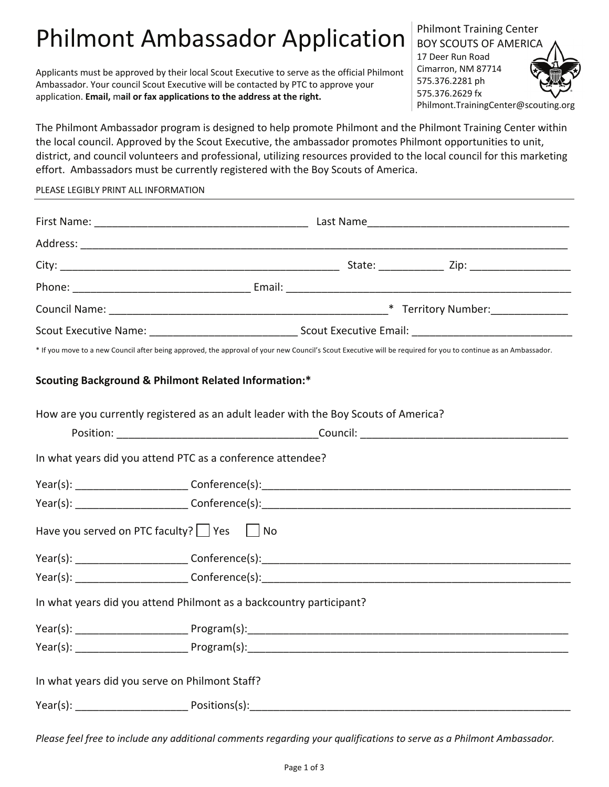# Philmont Ambassador Application

Applicants must be approved by their local Scout Executive to serve as the official Philmont Ambassador. Your council Scout Executive will be contacted by PTC to approve your application. **Email,** m**ail or fax applications to the address at the right.**

Philmont Training Center BOY SCOUTS OF AMERICA 17 Deer Run Road Cimarron, NM 87714 575.376.2281 ph 575.376.2629 fx Philmont.TrainingCenter@scouting.org

The Philmont Ambassador program is designed to help promote Philmont and the Philmont Training Center within the local council. Approved by the Scout Executive, the ambassador promotes Philmont opportunities to unit, district, and council volunteers and professional, utilizing resources provided to the local council for this marketing effort. Ambassadors must be currently registered with the Boy Scouts of America.

#### PLEASE LEGIBLY PRINT ALL INFORMATION

| Scout Executive Name: ___________________________________Scout Executive Email: ______________________________                                                 |
|----------------------------------------------------------------------------------------------------------------------------------------------------------------|
| * If you move to a new Council after being approved, the approval of your new Council's Scout Executive will be required for you to continue as an Ambassador. |
| <b>Scouting Background &amp; Philmont Related Information:*</b>                                                                                                |
| How are you currently registered as an adult leader with the Boy Scouts of America?                                                                            |
|                                                                                                                                                                |
| In what years did you attend PTC as a conference attendee?                                                                                                     |
|                                                                                                                                                                |
|                                                                                                                                                                |
| Have you served on PTC faculty? $ $ Yes $ $ No                                                                                                                 |
|                                                                                                                                                                |
|                                                                                                                                                                |
| In what years did you attend Philmont as a backcountry participant?                                                                                            |
|                                                                                                                                                                |
|                                                                                                                                                                |
| In what years did you serve on Philmont Staff?                                                                                                                 |
| Year(s): Positions(s): Positions(s):                                                                                                                           |

*Please feel free to include any additional comments regarding your qualifications to serve as a Philmont Ambassador.*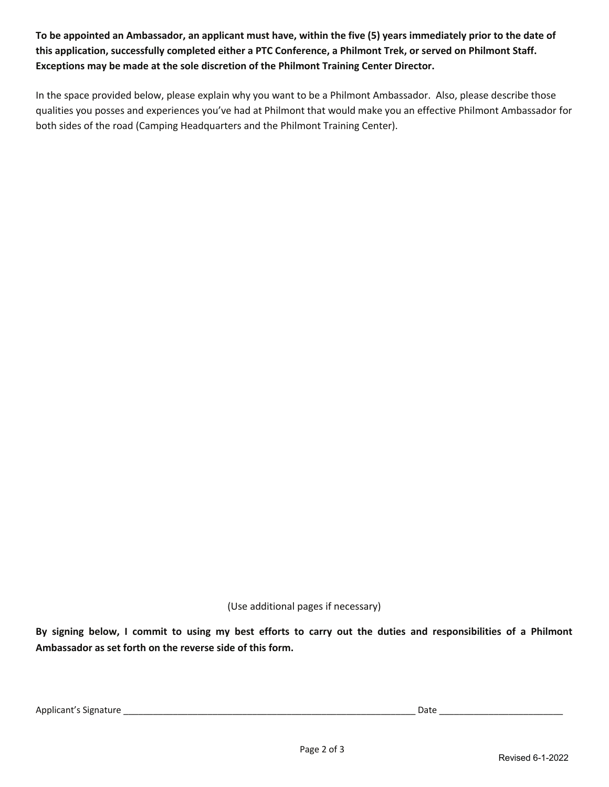**To be appointed an Ambassador, an applicant must have, within the five (5) years immediately prior to the date of this application, successfully completed either a PTC Conference, a Philmont Trek, or served on Philmont Staff. Exceptions may be made at the sole discretion of the Philmont Training Center Director.** 

In the space provided below, please explain why you want to be a Philmont Ambassador. Also, please describe those qualities you posses and experiences you've had at Philmont that would make you an effective Philmont Ambassador for both sides of the road (Camping Headquarters and the Philmont Training Center).

(Use additional pages if necessary)

**By signing below, I commit to using my best efforts to carry out the duties and responsibilities of a Philmont Ambassador as set forth on the reverse side of this form.**